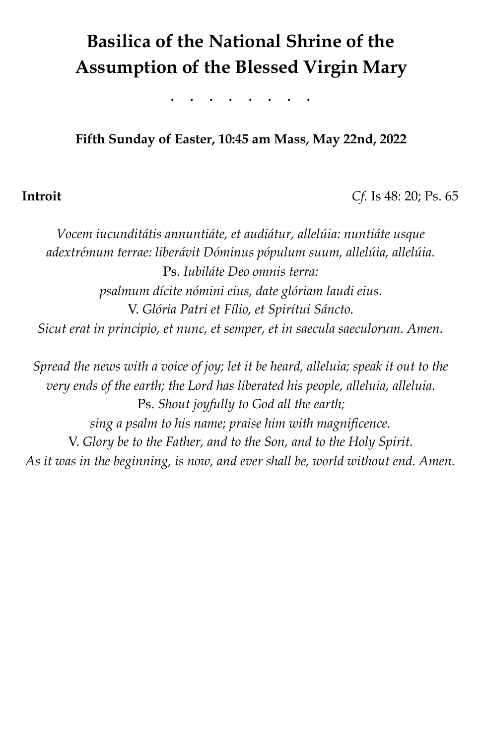# **Basilica of the National Shrine of the Assumption of the Blessed Virgin Mary**

*. . . . . . . .* 

# **Fifth Sunday of Easter, 10:45 am Mass, May 22nd, 2022**

### **Introit** *Cf.* Is 48: 20; Ps. 65

*Vocem iucunditátis annuntiáte, et audiátur, allelúia: nuntiáte usque adextrémum terrae: liberávit Dóminus pópulum suum, allelúia, allelúia.*  Ps. *Iubiláte Deo omnis terra: psalmum dícite nómini eius, date glóriam laudi eius.*  V. *Glória Patri et Fílio, et Spirítui Sáncto. Sicut erat in principio, et nunc, et semper, et in saecula saeculorum. Amen.* 

*Spread the news with a voice of joy; let it be heard, alleluia; speak it out to the very ends of the earth; the Lord has liberated his people, alleluia, alleluia.*  Ps. *Shout joyfully to God all the earth; sing a psalm to his name; praise him with magnificence.*  V. *Glory be to the Father, and to the Son, and to the Holy Spirit. As it was in the beginning, is now, and ever shall be, world without end. Amen.*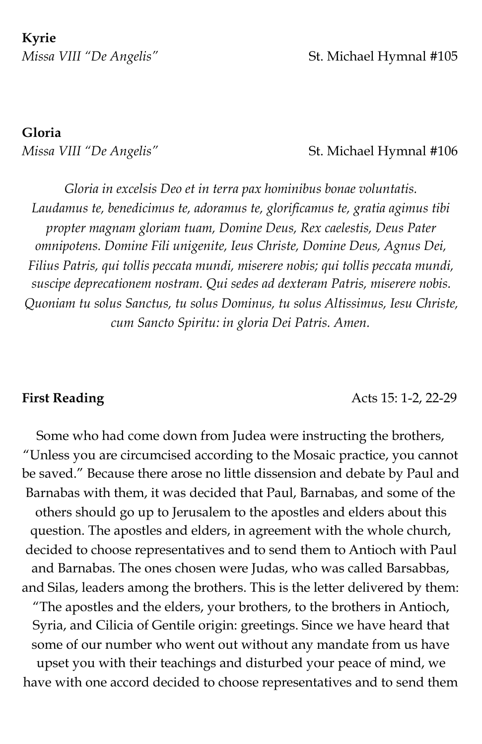**Kyrie**  *Missa VIII "De Angelis"* St. Michael Hymnal #105

# **Gloria**

### *Missa VIII "De Angelis"* St. Michael Hymnal #106

*Gloria in excelsis Deo et in terra pax hominibus bonae voluntatis. Laudamus te, benedicimus te, adoramus te, glorificamus te, gratia agimus tibi propter magnam gloriam tuam, Domine Deus, Rex caelestis, Deus Pater omnipotens. Domine Fili unigenite, Ieus Christe, Domine Deus, Agnus Dei, Filius Patris, qui tollis peccata mundi, miserere nobis; qui tollis peccata mundi, suscipe deprecationem nostram. Qui sedes ad dexteram Patris, miserere nobis. Quoniam tu solus Sanctus, tu solus Dominus, tu solus Altissimus, Iesu Christe, cum Sancto Spiritu: in gloria Dei Patris. Amen.* 

**First Reading Acts 15: 1-2, 22-29** 

Some who had come down from Judea were instructing the brothers, "Unless you are circumcised according to the Mosaic practice, you cannot be saved." Because there arose no little dissension and debate by Paul and Barnabas with them, it was decided that Paul, Barnabas, and some of the others should go up to Jerusalem to the apostles and elders about this question. The apostles and elders, in agreement with the whole church, decided to choose representatives and to send them to Antioch with Paul and Barnabas. The ones chosen were Judas, who was called Barsabbas, and Silas, leaders among the brothers. This is the letter delivered by them: "The apostles and the elders, your brothers, to the brothers in Antioch, Syria, and Cilicia of Gentile origin: greetings. Since we have heard that some of our number who went out without any mandate from us have upset you with their teachings and disturbed your peace of mind, we have with one accord decided to choose representatives and to send them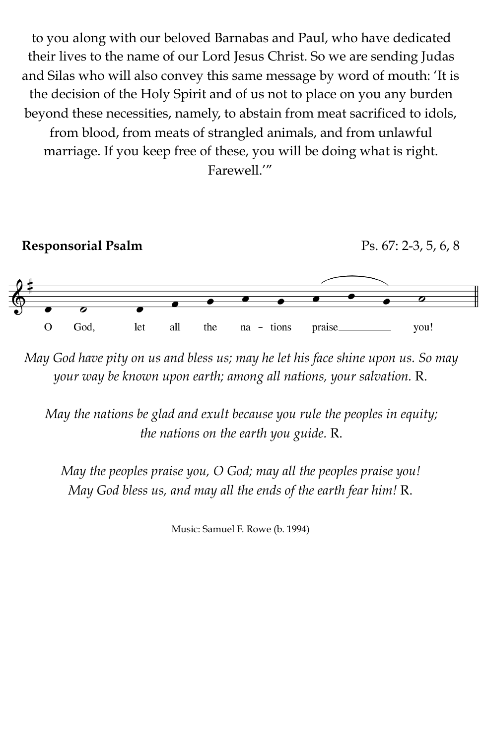to you along with our beloved Barnabas and Paul, who have dedicated their lives to the name of our Lord Jesus Christ. So we are sending Judas and Silas who will also convey this same message by word of mouth: 'It is the decision of the Holy Spirit and of us not to place on you any burden beyond these necessities, namely, to abstain from meat sacrificed to idols, from blood, from meats of strangled animals, and from unlawful marriage. If you keep free of these, you will be doing what is right. Farewell.'"



*May God have pity on us and bless us; may he let his face shine upon us. So may your way be known upon earth; among all nations, your salvation.* R.

*May the nations be glad and exult because you rule the peoples in equity; the nations on the earth you guide.* R.

*May the peoples praise you, O God; may all the peoples praise you! May God bless us, and may all the ends of the earth fear him!* R.

Music: Samuel F. Rowe (b. 1994)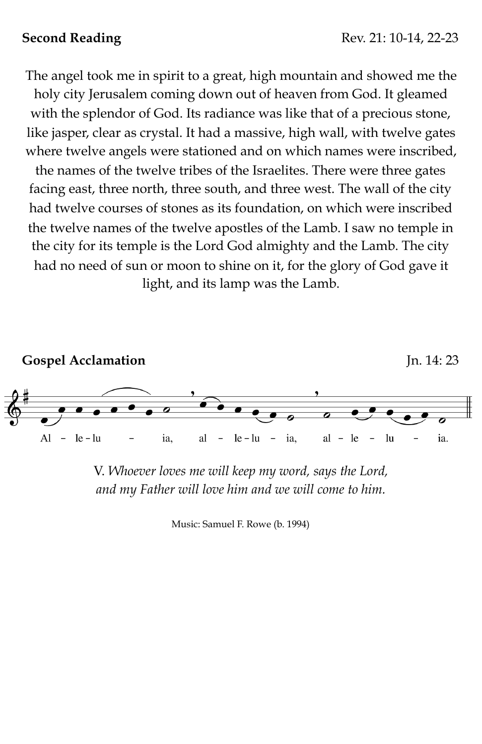The angel took me in spirit to a great, high mountain and showed me the holy city Jerusalem coming down out of heaven from God. It gleamed with the splendor of God. Its radiance was like that of a precious stone, like jasper, clear as crystal. It had a massive, high wall, with twelve gates where twelve angels were stationed and on which names were inscribed,

the names of the twelve tribes of the Israelites. There were three gates facing east, three north, three south, and three west. The wall of the city had twelve courses of stones as its foundation, on which were inscribed the twelve names of the twelve apostles of the Lamb. I saw no temple in the city for its temple is the Lord God almighty and the Lamb. The city had no need of sun or moon to shine on it, for the glory of God gave it light, and its lamp was the Lamb.



V. *Whoever loves me will keep my word, says the Lord, and my Father will love him and we will come to him.*

Music: Samuel F. Rowe (b. 1994)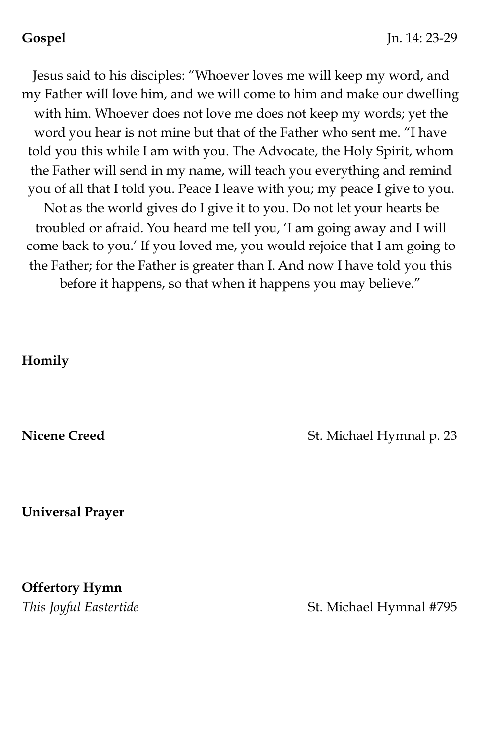Jesus said to his disciples: "Whoever loves me will keep my word, and my Father will love him, and we will come to him and make our dwelling with him. Whoever does not love me does not keep my words; yet the word you hear is not mine but that of the Father who sent me. "I have told you this while I am with you. The Advocate, the Holy Spirit, whom the Father will send in my name, will teach you everything and remind you of all that I told you. Peace I leave with you; my peace I give to you. Not as the world gives do I give it to you. Do not let your hearts be troubled or afraid. You heard me tell you, 'I am going away and I will come back to you.' If you loved me, you would rejoice that I am going to the Father; for the Father is greater than I. And now I have told you this

before it happens, so that when it happens you may believe."

### **Homily**

**Nicene Creed St. Michael Hymnal p. 23** 

**Universal Prayer** 

**Offertory Hymn** 

*This Joyful Eastertide* **St. Michael Hymnal #795**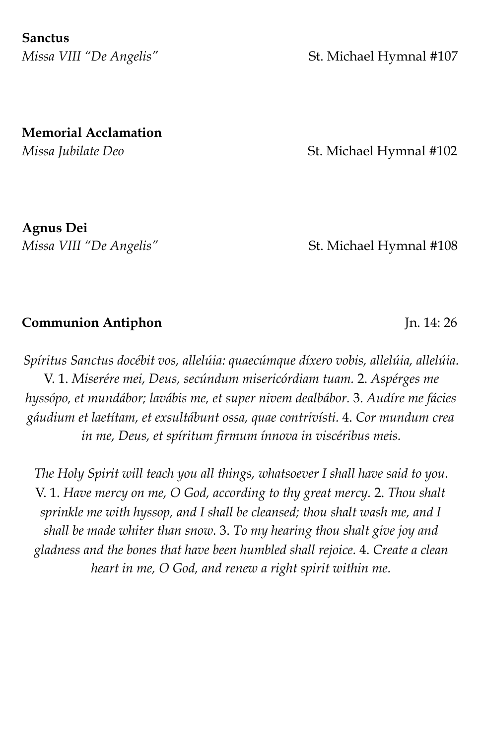**Sanctus** 

*Missa VIII "De Angelis"* St. Michael Hymnal #107

**Memorial Acclamation** 

*Missa Jubilate Deo* **St. Michael Hymnal #102** 

**Agnus Dei** 

*Missa VIII "De Angelis"* St. Michael Hymnal #108

# **Communion Antiphon** Jn. 14: 26

*Spíritus Sanctus docébit vos, allelúia: quaecúmque díxero vobis, allelúia, allelúia.*  V. 1. *Miserére mei, Deus, secúndum misericórdiam tuam.* 2. *Aspérges me hyssópo, et mundábor; lavábis me, et super nivem dealbábor.* 3. *Audíre me fácies gáudium et laetítam, et exsultábunt ossa, quae contrivísti.* 4. *Cor mundum crea in me, Deus, et spíritum firmum ínnova in viscéribus meis.*

*The Holy Spirit will teach you all things, whatsoever I shall have said to you.*  V. 1. *Have mercy on me, O God, according to thy great mercy.* 2. *Thou shalt sprinkle me with hyssop, and I shall be cleansed; thou shalt wash me, and I shall be made whiter than snow.* 3. *To my hearing thou shalt give joy and gladness and the bones that have been humbled shall rejoice.* 4. *Create a clean heart in me, O God, and renew a right spirit within me.*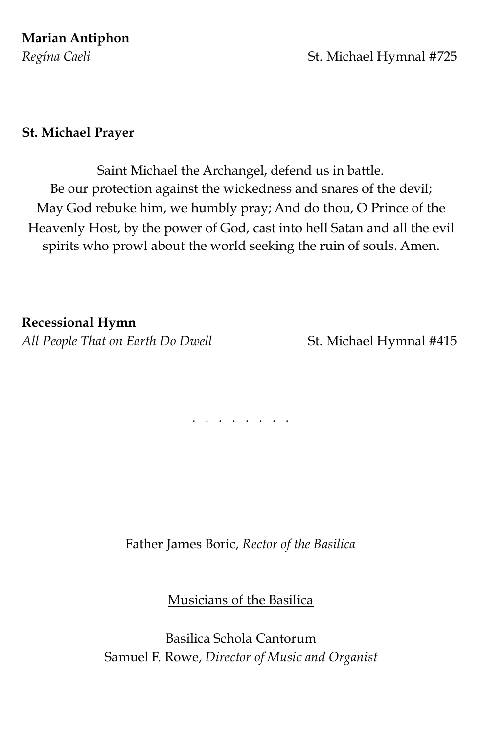# **Marian Antiphon**

# *Regína Caeli* **Exercía Exercía Exercía Exercía Exercía Exercía Exercía Exercía Exercía Exercía Exercía Exercía Exercía Exercía Exercía Exercía Exercía Exercía Exercía Exercía Exercía Exercía Exercía Exercía Exercía Exercí**

### **St. Michael Prayer**

Saint Michael the Archangel, defend us in battle. Be our protection against the wickedness and snares of the devil; May God rebuke him, we humbly pray; And do thou, O Prince of the Heavenly Host, by the power of God, cast into hell Satan and all the evil spirits who prowl about the world seeking the ruin of souls. Amen.

### **Recessional Hymn**

All People That on Earth Do Dwell **St. Michael Hymnal #415** 

*. . . . . . . .* 

Father James Boric, *Rector of the Basilica*

Musicians of the Basilica

Basilica Schola Cantorum Samuel F. Rowe, *Director of Music and Organist*